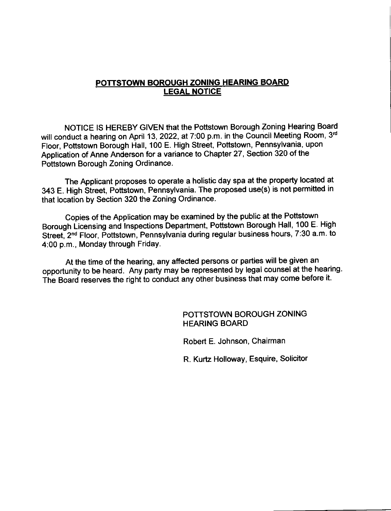# POTTSTOWN BOROUGH ZONING HEARING BOARD LEGAL NOTICE

NOTICE lS HEREBY GIVEN that the Pottstown Borough Zoning Hearing Board will conduct a hearing on April 13, 2022, at 7:00 p.m. in the Council Meeting Room, 3rd Floor, Pottstown Borough Hall, 100 E. High Street, Pottstown, Pennsylvania, upon Application of Anne Anderson for a variance to Chapter 27, Section 320 of the Pottstown Borough Zoning Ordinance.

The Applicant proposes to operate a holistic day spa at the property located at 343 E. High Street, Pottstown, Pennsylvania. The proposed use(s) is not permitted in that location by Section 320 the Zoning Ordinance.

Copies of the Application may be examined by the public at the Pottstown Borough Licensing and Inspections Department, Pottstown Borough Hall, 100 E. High Street, 2<sup>nd</sup> Floor, Pottstown, Pennsylvania during regular business hours, 7:30 a.m. to 4:00 p.m., Monday through FridaY.

At the time of the hearing, any affected persons or parties will be given an opportunity to be heard. Any party may be represented by legal counsel at the hearing. The Board reserves the right to conduct any other business that may come before it.

> POTTSTOWN BOROUGH ZONING HEARING BOARD

Robert E. Johnson, Chairman

R. Kurtz Holloway, Esquire, Solicitor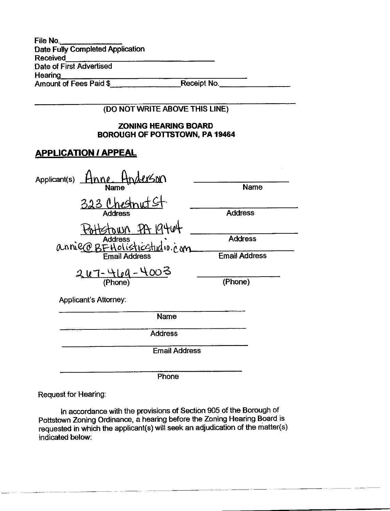| File No.                                |             |  |
|-----------------------------------------|-------------|--|
| <b>Date Fully Completed Application</b> |             |  |
| <b>Received</b>                         |             |  |
| Date of First Advertised                |             |  |
| Hearing                                 |             |  |
| Amount of Fees Paid \$                  | Receipt No. |  |

| (DO NOT WRITE ABOVE THIS LINE)                                        |                                        |
|-----------------------------------------------------------------------|----------------------------------------|
| <b>ZONING HEARING BOARD</b><br>BOROUGH OF POTTSTOWN, PA 19464         |                                        |
| <b>APPLICATION / APPEAL</b>                                           |                                        |
| <u>erson</u><br>Applicant(s)<br>mne.<br>Name                          | <b>Name</b>                            |
| 323<br><b>Address</b>                                                 | <b>Address</b>                         |
| <b>Address</b><br>annier BEHolisticstudio.com<br><b>Email Address</b> | <b>Address</b><br><b>Email Address</b> |
| $247 - 469 - 4003$<br>(Phone)                                         | (Phone)                                |
| Applicant's Attorney:                                                 |                                        |
| Name                                                                  |                                        |
| <b>Address</b>                                                        |                                        |
| <b>Email Address</b>                                                  |                                        |

**Phone** 

Request for Hearing:

In accordance with the provisions of Section 905 of the Borough of Pottstown Zoning Ordinance, a hearing before the Zoning Hearing Board is requested in which the applicant(s) will seek an adjudication of the matter(s) indicated below: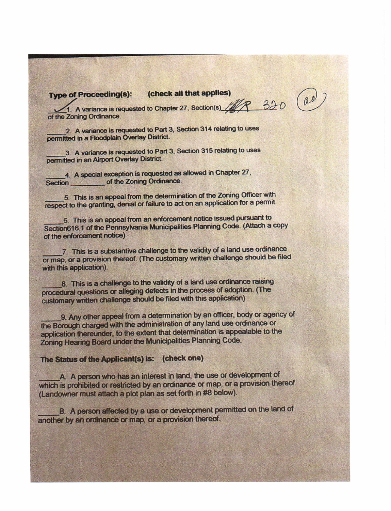# Type of Proceeding(s): (check all that applies)

18 320 1. A variance is requested to Chapter 27, Section(s) of the Zoning Ordinance.

2. A variance is requested to Part 3, Section 314 relating to uses permitted in a Floodplain Overlay District.

3. A variance is requested to Part 3, Section 315 relating to uses permitted in an Airport Overlay District.

4. A special exception is requested as allowed in Chapter 27, Section of the Zoning Ordinance.

5. This is an appeal from the determination of the Zoning Officer with respect to the granting, denial or failure to act on an application for a permit.

6. This is an appeal from an enforcement notice issued pursuant to Section616.1 of the Pennsylvania Municipalities Planning Code. (Attach a copy of the enforcement notice)

7. This is a substantive challenge to the validity of a land use ordinance or map, or a provision thereof. (The customary written challenge should be filed with this application).

8. This is a challenge to the validity of a land use ordinance raising procedural questions or alleging defects in the process of adoption. (The customary written challenge should be filed with this application)

9. Any other appeal from a determination by an officer, body or agency of the Borough charged with the administration of any land use ordinance or application thereunder, to the extent that determination is appealable to the Zoning Hearing Board under the Municipalities Planning Code.

## The Status of the Applicant(s) is: (check one)

A A person who has an interest in land, the use or development of which is prohibited or restricted by an ordinance or map, or a provision thereof. (Landowner must attach a plot plan as set forth in #8 below).

B. A person affected by a use or development permitted on the land of another by an ordinance or map, or a provision thereof.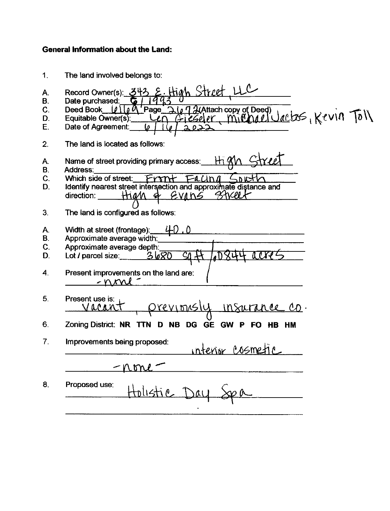# General lnformation about the Land:

| 1.                                     | The land involved belongs to:                                                                                                                                                                                                             |
|----------------------------------------|-------------------------------------------------------------------------------------------------------------------------------------------------------------------------------------------------------------------------------------------|
| Α.<br>В.<br>$\mathsf{C}$ .<br>D.<br>E. | tigh Street<br>Record Owner(s): 34<br>Date purchased:<br>Page 2672 (Attach copy of Deed)<br>Len Gieseler, Mill Mall Jackss, Kevin Toll<br>Deed Book $[\rho]   \rho \emptyset$<br>Equitable Owner(s).<br>Date of Agreement:<br><u>2022</u> |
| 2.                                     | The land is located as follows:                                                                                                                                                                                                           |
| Α.<br>В.<br>C.<br>D.                   | Name of street providing primary access:<br><b>Address:</b><br>Which side of street:<br>nut<br>Identify nearest street intersection and approximate distance and<br>- SKel<br>EVING<br>direction:<br>Hiam &                               |
| З.                                     | The land is configured as follows:                                                                                                                                                                                                        |
| A.<br>В.<br>C.<br>D.<br>4.             | Width at street (frontage):<br>41)<br>Approximate average width:<br>Approximate average depth:<br>Lot / parcel size: $3\sqrt{80}$<br>Present improvements on the land are:                                                                |
| 5.                                     | $-$ n $\kappa v$<br>Present use is:<br><u>revimsly</u><br>Insacr                                                                                                                                                                          |
| 6.                                     | Zoning District: NR TTN D NB DG GE GW P FO<br>HB<br><b>HM</b>                                                                                                                                                                             |
| 7.                                     | Improvements being proposed:<br><u>ıntenisr Cosme</u>                                                                                                                                                                                     |
|                                        |                                                                                                                                                                                                                                           |
| 8.                                     | Proposed use:<br>Holistic Day                                                                                                                                                                                                             |
|                                        |                                                                                                                                                                                                                                           |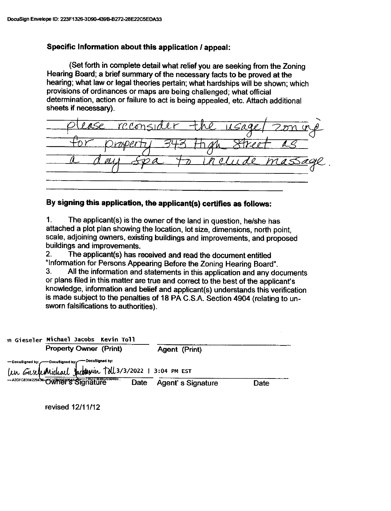### Specific Information about this application / appeal:

(Set forth in complete detail what relief you are seeking from the Zoning Hearing Board; a brief summary of the necessary facts to be proved at the hearing; what law or legal theories pertain; what hardships will be shown; which provisions of ordinances or maps are being challenged; what official determination, action or failure to act is being appealed, etc. Attach additional sheets if necessary).

|                                                    | please reconsider the usage (200 mg |
|----------------------------------------------------|-------------------------------------|
| for property 343 th,<br><u>reet as</u><br>the Str. |                                     |
| <u>to include massage</u>                          |                                     |

# By signing this application, the applicant(s) certifies as follows:

<sup>1</sup>. The applicant(s) is the owner of the land in question, he/she has attached a plot plan showing the location, lot size, dimensions, north point, scale, adjoining owners, existing buildings and improvements, and proposed

2. The applicant(s) has received and read the document entitled<br>"Information for Persons Appearing Before the Zoning Hearing Board".

3. All the information and statements in this application and any documents or plans filed in this matter are true and correct to the best of the applicant's knowledge, information and belief and applicant(s) understands this verification is made subject to the penalties of 18 PA C.S.A. Section 4904 (relating to unsworn falsifications to authorities).

| in Gieseler Michael Jacobs Kevin Toll                                                                      |      |                      |             |
|------------------------------------------------------------------------------------------------------------|------|----------------------|-------------|
| <b>Property Owner (Print)</b>                                                                              |      | <b>Agent (Print)</b> |             |
| - DocuSigned by: DocuSigned by: DocuSigned by:<br>Un GieseferMichael Jacksonin Toll 3/3/2022 1 3:04 PM EST |      |                      |             |
| A20FC830422943E OWTHET STONERDSSOARS                                                                       | Date | Agent's Signature    | <b>Date</b> |

revised 12111112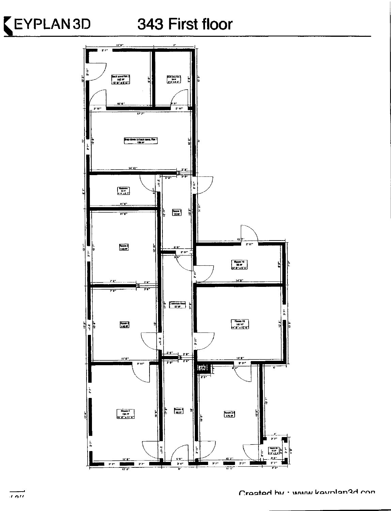

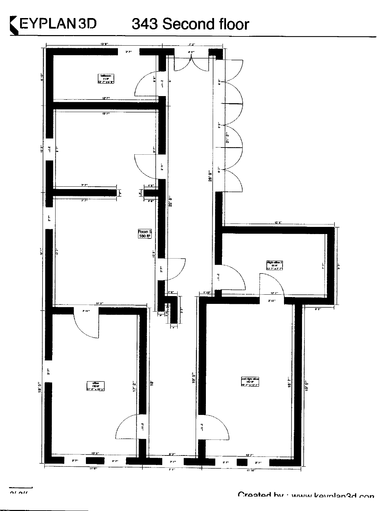# 343 Second floor

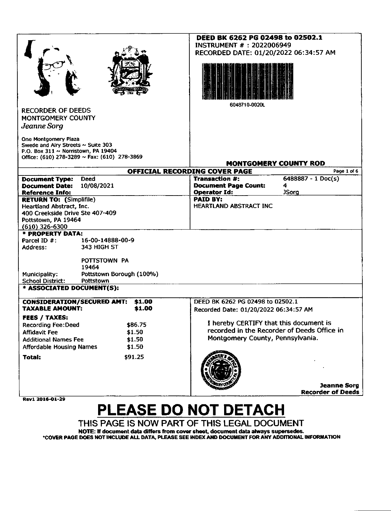|                                                            |                                              |        | DEED BK 6262 PG 02498 to 02502.1       |                                             |
|------------------------------------------------------------|----------------------------------------------|--------|----------------------------------------|---------------------------------------------|
|                                                            |                                              |        | <b>INSTRUMENT #: 2022006949</b>        |                                             |
|                                                            |                                              |        | RECORDED DATE: 01/20/2022 06:34:57 AM  |                                             |
|                                                            |                                              |        |                                        |                                             |
|                                                            |                                              |        |                                        |                                             |
|                                                            |                                              |        |                                        |                                             |
|                                                            |                                              |        |                                        |                                             |
|                                                            |                                              |        |                                        |                                             |
|                                                            |                                              |        |                                        |                                             |
|                                                            |                                              |        | 6048710-0020L                          |                                             |
| <b>RECORDER OF DEEDS</b>                                   |                                              |        |                                        |                                             |
| MONTGOMERY COUNTY                                          |                                              |        |                                        |                                             |
| Jeanne Sorg                                                |                                              |        |                                        |                                             |
|                                                            |                                              |        |                                        |                                             |
| One Montgomery Plaza<br>Swede and Airy Streets ~ Suite 303 |                                              |        |                                        |                                             |
| P.O. Box 311 ~ Norristown, PA 19404                        |                                              |        |                                        |                                             |
|                                                            | Office: (610) 278-3289 ~ Fax: (610) 278-3869 |        |                                        |                                             |
|                                                            |                                              |        |                                        | <b>MONTGOMERY COUNTY ROD</b>                |
|                                                            |                                              |        | OFFICIAL RECORDING COVER PAGE          | Page 1 of 6                                 |
| <b>Document Type:</b>                                      | <b>Deed</b>                                  |        | <b>Transaction #:</b>                  | $6488887 - 1 \text{ Doc}(s)$                |
| <b>Document Date:</b>                                      | 10/08/2021                                   |        | <b>Document Page Count:</b>            | 4                                           |
| <b>Reference Info:</b>                                     |                                              |        | <b>Operator Id:</b>                    | <b>JSorg</b>                                |
| <b>RETURN TO: (Simplifile)</b>                             |                                              |        | <b>PAID BY:</b>                        |                                             |
| Heartland Abstract, Inc.                                   |                                              |        | <b>HEARTLAND ABSTRACT INC</b>          |                                             |
| 400 Creekside Drive Ste 407-409                            |                                              |        |                                        |                                             |
| Pottstown, PA 19464                                        |                                              |        |                                        |                                             |
| $(610)$ 326-6300<br>* PROPERTY DATA:                       |                                              |        |                                        |                                             |
| Parcel ID $#$ :                                            | 16-00-14888-00-9                             |        |                                        |                                             |
| Address:                                                   | 343 HIGH ST                                  |        |                                        |                                             |
|                                                            |                                              |        |                                        |                                             |
|                                                            | POTTSTOWN PA                                 |        |                                        |                                             |
|                                                            | 19464                                        |        |                                        |                                             |
| Municipality:                                              | Pottstown Borough (100%)                     |        |                                        |                                             |
| <b>School District:</b>                                    | Pottstown                                    |        |                                        |                                             |
| * ASSOCIATED DOCUMENT(S):                                  |                                              |        |                                        |                                             |
| <b>CONSIDERATION/SECURED AMT:</b>                          |                                              | \$1.00 | DEED BK 6262 PG 02498 to 02502.1       |                                             |
| <b>TAXABLE AMOUNT:</b>                                     |                                              | \$1.00 |                                        |                                             |
|                                                            |                                              |        | Recorded Date: 01/20/2022 06:34:57 AM  |                                             |
| <b>FEES / TAXES:</b>                                       |                                              |        | I hereby CERTIFY that this document is |                                             |
| <b>Recording Fee:Deed</b>                                  | \$86.75                                      |        |                                        | recorded in the Recorder of Deeds Office in |
| <b>Affidavit Fee</b>                                       | \$1.50                                       |        | Montgomery County, Pennsylvania.       |                                             |
| <b>Additional Names Fee</b>                                | \$1.50                                       |        |                                        |                                             |
| <b>Affordable Housing Names</b>                            | \$1.50                                       |        |                                        |                                             |
| Total:                                                     | \$91.25                                      |        |                                        |                                             |
|                                                            |                                              |        |                                        |                                             |
|                                                            |                                              |        |                                        |                                             |
|                                                            |                                              |        |                                        |                                             |
|                                                            |                                              |        |                                        | <b>Jeanne Sorg</b>                          |
|                                                            |                                              |        |                                        | <b>Recorder of Deeds</b>                    |
| Rev1 2016-01-29                                            |                                              |        |                                        |                                             |

# PLEASE DO NOT DETACH

THIS PAGE IS NOW PART OF THIS LEGAL DOCUMENT

NOTE: If document data differs from cover sheet, document data always supersedes.<br>COVER PAGE DOES NOT INCLUDE ALL DATA, PLEASE SEE INDEX AND DOCUMENT FOR ANY ADDITIONAL INFORMATION\*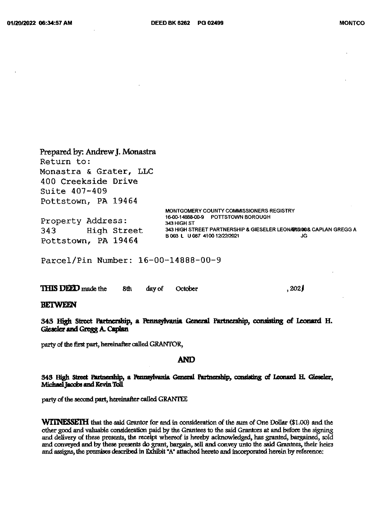Return to: Monastra & Grater, LLC 400 Creekside Drive Suite 407-409 Pottstown, PA 19464 MONTGOMERY COUNTY COMMISSIONERS REGISTRY 16-00-14888-00-9 POTTSTOWN BOROUGH Property Address: 343 HIGH ST 343 HIGH STREET PARTNERSHIP & GIESELER LEONARDOO& CAPLAN GREGG A 343 High Street B 003 L U 087 4100 12/22/2021 JG. Pottstown, PA 19464

Parcel/Pin Number: 16-00-14888-00-9

|  | <b>THIS DEED</b> made the | 8th |  | day of October | ,202 |
|--|---------------------------|-----|--|----------------|------|
|--|---------------------------|-----|--|----------------|------|

### **BETWEEN**

343 High Street Partnership, a Pennsylvania General Partnership, consisting of Leonard H. Gieseler and Gregg A. Caplan

party of the first part, hereinafter called GRANTOR,

Prepared by: Andrew J. Monastra

### **AND**

#### 343 High Street Partnership, a Pennsylvania General Partnership, consisting of Leonard H. Gieseler, Michael Jacobs and Kevin Toll

party of the second part, hereinafter called GRANTEE

**WITNESSETH** that the said Grantor for and in consideration of the sum of One Dollar (\$1.00) and the other good and valuable consideration paid by the Grantees to the said Grantors at and before the signing and delivery of these presents, the receipt whereof is hereby acknowledged, has granted, bargained, sold and conveyed and by these presents do grant, bargain, sell and convey unto the said Grantees, their heirs and assigns, the premises described in Exhibit "A" attached hereto and incorporated herein by reference;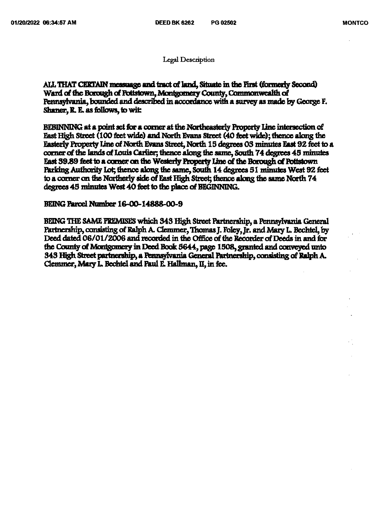**Legal Description** 

ALL THAT CERTAIN messuage and tract of land, Situate in the First (formerly Second) Ward of the Borough of Pottstown, Montgomery County, Commonwealth of Pennsylvania, bounded and described in accordance with a survey as made by George F. Shaner, R. E. as follows, to wit

BEBINNING at a point set for a corner at the Northeasterly Property Line intersection of East High Street (100 feet wide) and North Evans Street (40 feet wide); thence along the Easterly Property Line of North Evans Street, North 15 degrees 03 minutes East 92 feet to a corner of the lands of Louis Carlier; thence along the same, South 74 degrees 45 minutes East 39.89 feet to a corner on the Westerly Property Line of the Borough of Pottstown Parking Authority Lot, thence along the same, South 14 degrees 51 minutes West 92 feet to a corner on the Northerly side of East High Street; thence along the same North 74 degrees 45 minutes West 40 feet to the place of BEGINNING.

### BEING Parcel Number 16-00-14888-00-9

BEING THE SAME FREMISES which 343 High Street Partnership, a Pennsylvania General Partnership, consisting of Ralph A. Clemmer, Thomas J. Foley, Jr. and Mary L. Bechtel, by Deed dated 06/01/2006 and recorded in the Office of the Recorder of Deeds in and for the County of Montgomery in Deed Book 5644, page 1508, granted and conveyed unto 343 High Street partnership, a Pennsylvania General Partnership, consisting of Ralph A. Clemmer, Mary L. Bechtel and Paul E. Hallman, II, in fee.